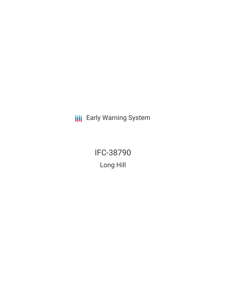**III** Early Warning System

IFC-38790 Long Hill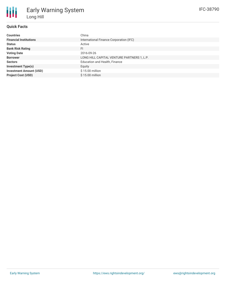

# **Quick Facts**

| <b>Countries</b>               | China                                      |
|--------------------------------|--------------------------------------------|
| <b>Financial Institutions</b>  | International Finance Corporation (IFC)    |
| <b>Status</b>                  | Active                                     |
| <b>Bank Risk Rating</b>        | FI                                         |
| <b>Voting Date</b>             | 2016-09-26                                 |
| <b>Borrower</b>                | LONG HILL CAPITAL VENTURE PARTNERS 1, L.P. |
| <b>Sectors</b>                 | Education and Health, Finance              |
| <b>Investment Type(s)</b>      | Equity                                     |
| <b>Investment Amount (USD)</b> | \$15.00 million                            |
| <b>Project Cost (USD)</b>      | \$15.00 million                            |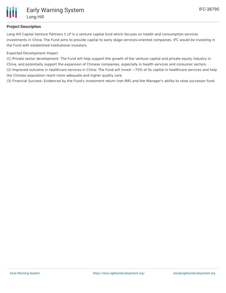

## **Project Description**

Long Hill Capital Venture Partners 1 LP is a venture capital fund which focuses on health and consumption services investments in China. The Fund aims to provide capital to early stage services-oriented companies. IFC would be investing in the Fund with established institutional investors.

#### Expected Development Impact

(1) Private sector development: The Fund will help support the growth of the venture capital and private equity industry in China, and potentially support the expansion of Chinese companies, especially in health services and consumer sectors. (2) Improved outcome in healthcare services in China: The Fund will invest ~75% of its capital in healthcare services and help the Chinese population reach more adequate and higher quality care.

(3) Financial Success: Evidenced by the Fund's investment return (net IRR) and the Manager's ability to raise successor fund.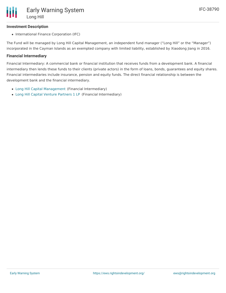### **Investment Description**

• International Finance Corporation (IFC)

The Fund will be managed by Long Hill Capital Management, an independent fund manager ("Long Hill" or the "Manager") incorporated in the Cayman Islands as an exempted company with limited liability, established by Xiaodong Jiang in 2016.

#### **Financial Intermediary**

Financial Intermediary: A commercial bank or financial institution that receives funds from a development bank. A financial intermediary then lends these funds to their clients (private actors) in the form of loans, bonds, guarantees and equity shares. Financial intermediaries include insurance, pension and equity funds. The direct financial relationship is between the development bank and the financial intermediary.

- Long Hill Capital [Management](file:///actor/1145/) (Financial Intermediary)
- Long Hill Capital Venture [Partners](file:///actor/1146/) 1 LP (Financial Intermediary)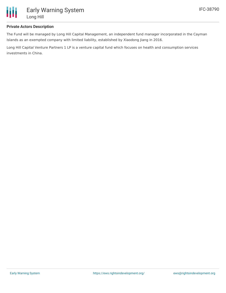

### **Private Actors Description**

The Fund will be managed by Long Hill Capital Management, an independent fund manager incorporated in the Cayman Islands as an exempted company with limited liability, established by Xiaodong Jiang in 2016.

Long Hill Capital Venture Partners 1 LP is a venture capital fund which focuses on health and consumption services investments in China.